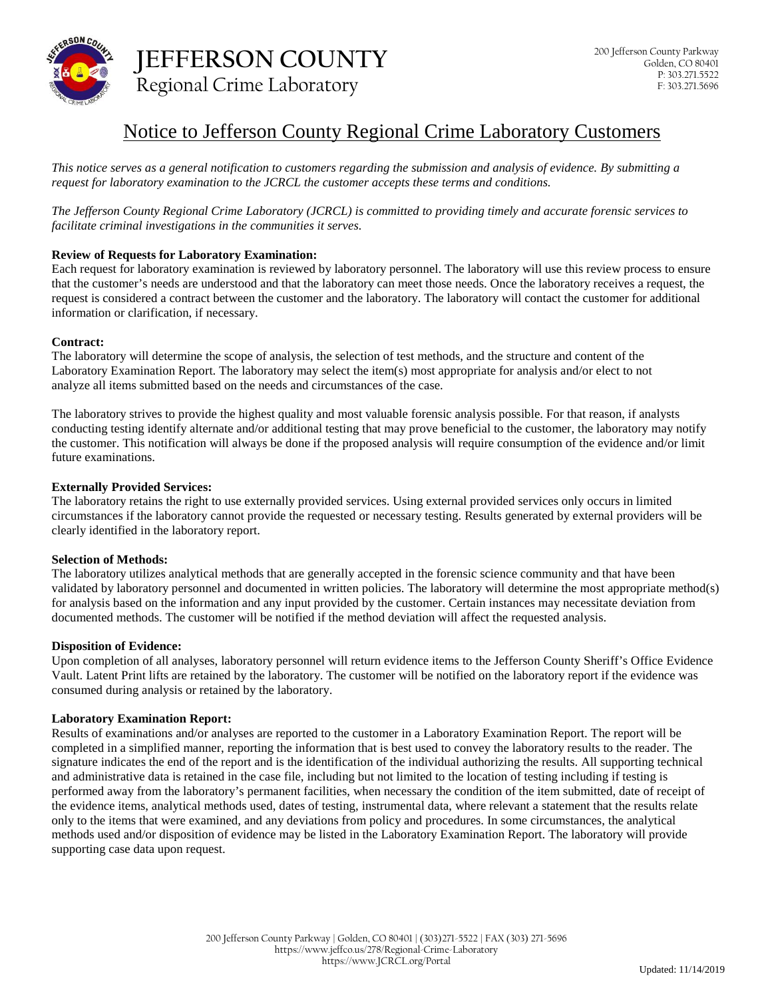

# Notice to Jefferson County Regional Crime Laboratory Customers

*This notice serves as a general notification to customers regarding the submission and analysis of evidence. By submitting a request for laboratory examination to the JCRCL the customer accepts these terms and conditions.*

*The Jefferson County Regional Crime Laboratory (JCRCL) is committed to providing timely and accurate forensic services to facilitate criminal investigations in the communities it serves.*

## **Review of Requests for Laboratory Examination:**

Each request for laboratory examination is reviewed by laboratory personnel. The laboratory will use this review process to ensure that the customer's needs are understood and that the laboratory can meet those needs. Once the laboratory receives a request, the request is considered a contract between the customer and the laboratory. The laboratory will contact the customer for additional information or clarification, if necessary.

### **Contract:**

The laboratory will determine the scope of analysis, the selection of test methods, and the structure and content of the Laboratory Examination Report. The laboratory may select the item(s) most appropriate for analysis and/or elect to not analyze all items submitted based on the needs and circumstances of the case.

The laboratory strives to provide the highest quality and most valuable forensic analysis possible. For that reason, if analysts conducting testing identify alternate and/or additional testing that may prove beneficial to the customer, the laboratory may notify the customer. This notification will always be done if the proposed analysis will require consumption of the evidence and/or limit future examinations.

### **Externally Provided Services:**

The laboratory retains the right to use externally provided services. Using external provided services only occurs in limited circumstances if the laboratory cannot provide the requested or necessary testing. Results generated by external providers will be clearly identified in the laboratory report.

### **Selection of Methods:**

The laboratory utilizes analytical methods that are generally accepted in the forensic science community and that have been validated by laboratory personnel and documented in written policies. The laboratory will determine the most appropriate method(s) for analysis based on the information and any input provided by the customer. Certain instances may necessitate deviation from documented methods. The customer will be notified if the method deviation will affect the requested analysis.

### **Disposition of Evidence:**

Upon completion of all analyses, laboratory personnel will return evidence items to the Jefferson County Sheriff's Office Evidence Vault. Latent Print lifts are retained by the laboratory. The customer will be notified on the laboratory report if the evidence was consumed during analysis or retained by the laboratory.

### **Laboratory Examination Report:**

Results of examinations and/or analyses are reported to the customer in a Laboratory Examination Report. The report will be completed in a simplified manner, reporting the information that is best used to convey the laboratory results to the reader. The signature indicates the end of the report and is the identification of the individual authorizing the results. All supporting technical and administrative data is retained in the case file, including but not limited to the location of testing including if testing is performed away from the laboratory's permanent facilities, when necessary the condition of the item submitted, date of receipt of the evidence items, analytical methods used, dates of testing, instrumental data, where relevant a statement that the results relate only to the items that were examined, and any deviations from policy and procedures. In some circumstances, the analytical methods used and/or disposition of evidence may be listed in the Laboratory Examination Report. The laboratory will provide supporting case data upon request.